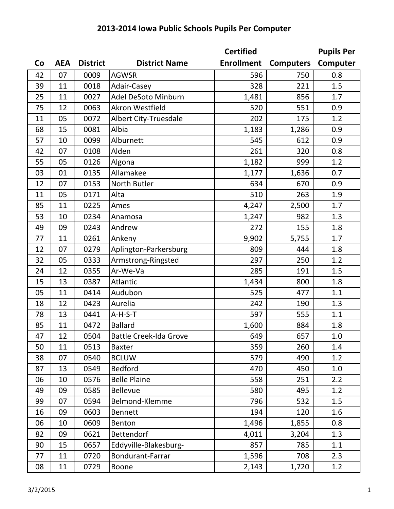|    |            |                 |                               | <b>Certified</b>  |                  | <b>Pupils Per</b> |
|----|------------|-----------------|-------------------------------|-------------------|------------------|-------------------|
| Co | <b>AEA</b> | <b>District</b> | <b>District Name</b>          | <b>Enrollment</b> | <b>Computers</b> | Computer          |
| 42 | 07         | 0009            | <b>AGWSR</b>                  | 596               | 750              | 0.8               |
| 39 | 11         | 0018            | Adair-Casey                   | 328               | 221              | 1.5               |
| 25 | 11         | 0027            | Adel DeSoto Minburn           | 1,481             | 856              | 1.7               |
| 75 | 12         | 0063            | Akron Westfield               | 520               | 551              | 0.9               |
| 11 | 05         | 0072            | <b>Albert City-Truesdale</b>  | 202               | 175              | 1.2               |
| 68 | 15         | 0081            | Albia                         | 1,183             | 1,286            | 0.9               |
| 57 | 10         | 0099            | Alburnett                     | 545               | 612              | 0.9               |
| 42 | 07         | 0108            | Alden                         | 261               | 320              | 0.8               |
| 55 | 05         | 0126            | Algona                        | 1,182             | 999              | 1.2               |
| 03 | 01         | 0135            | Allamakee                     | 1,177             | 1,636            | 0.7               |
| 12 | 07         | 0153            | North Butler                  | 634               | 670              | 0.9               |
| 11 | 05         | 0171            | Alta                          | 510               | 263              | 1.9               |
| 85 | 11         | 0225            | Ames                          | 4,247             | 2,500            | 1.7               |
| 53 | 10         | 0234            | Anamosa                       | 1,247             | 982              | 1.3               |
| 49 | 09         | 0243            | Andrew                        | 272               | 155              | 1.8               |
| 77 | 11         | 0261            | Ankeny                        | 9,902             | 5,755            | 1.7               |
| 12 | 07         | 0279            | Aplington-Parkersburg         | 809               | 444              | 1.8               |
| 32 | 05         | 0333            | Armstrong-Ringsted            | 297               | 250              | 1.2               |
| 24 | 12         | 0355            | Ar-We-Va                      | 285               | 191              | 1.5               |
| 15 | 13         | 0387            | Atlantic                      | 1,434             | 800              | 1.8               |
| 05 | 11         | 0414            | Audubon                       | 525               | 477              | 1.1               |
| 18 | 12         | 0423            | Aurelia                       | 242               | 190              | 1.3               |
| 78 | 13         | 0441            | A-H-S-T                       | 597               | 555              | 1.1               |
| 85 | 11         | 0472            | <b>Ballard</b>                | 1,600             | 884              | 1.8               |
| 47 | 12         | 0504            | <b>Battle Creek-Ida Grove</b> | 649               | 657              | 1.0               |
| 50 | 11         | 0513            | <b>Baxter</b>                 | 359               | 260              | 1.4               |
| 38 | 07         | 0540            | <b>BCLUW</b>                  | 579               | 490              | 1.2               |
| 87 | 13         | 0549            | <b>Bedford</b>                | 470               | 450              | 1.0               |
| 06 | 10         | 0576            | <b>Belle Plaine</b>           | 558               | 251              | 2.2               |
| 49 | 09         | 0585            | <b>Bellevue</b>               | 580               | 495              | 1.2               |
| 99 | 07         | 0594            | Belmond-Klemme                | 796               | 532              | 1.5               |
| 16 | 09         | 0603            | <b>Bennett</b>                | 194               | 120              | 1.6               |
| 06 | 10         | 0609            | Benton                        | 1,496             | 1,855            | 0.8               |
| 82 | 09         | 0621            | Bettendorf                    | 4,011             | 3,204            | 1.3               |
| 90 | 15         | 0657            | Eddyville-Blakesburg-         | 857               | 785              | 1.1               |
| 77 | 11         | 0720            | Bondurant-Farrar              | 1,596             | 708              | 2.3               |
| 08 | 11         | 0729            | Boone                         | 2,143             | 1,720            | 1.2               |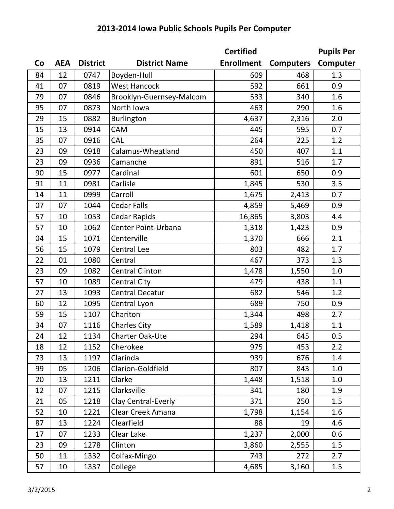|    |            |                 |                          | <b>Certified</b>  |                  | <b>Pupils Per</b> |
|----|------------|-----------------|--------------------------|-------------------|------------------|-------------------|
| Co | <b>AEA</b> | <b>District</b> | <b>District Name</b>     | <b>Enrollment</b> | <b>Computers</b> | Computer          |
| 84 | 12         | 0747            | Boyden-Hull              | 609               | 468              | 1.3               |
| 41 | 07         | 0819            | <b>West Hancock</b>      | 592               | 661              | 0.9               |
| 79 | 07         | 0846            | Brooklyn-Guernsey-Malcom | 533               | 340              | 1.6               |
| 95 | 07         | 0873            | North Iowa               | 463               | 290              | 1.6               |
| 29 | 15         | 0882            | Burlington               | 4,637             | 2,316            | 2.0               |
| 15 | 13         | 0914            | <b>CAM</b>               | 445               | 595              | 0.7               |
| 35 | 07         | 0916            | <b>CAL</b>               | 264               | 225              | 1.2               |
| 23 | 09         | 0918            | Calamus-Wheatland        | 450               | 407              | 1.1               |
| 23 | 09         | 0936            | Camanche                 | 891               | 516              | 1.7               |
| 90 | 15         | 0977            | Cardinal                 | 601               | 650              | 0.9               |
| 91 | 11         | 0981            | Carlisle                 | 1,845             | 530              | 3.5               |
| 14 | 11         | 0999            | Carroll                  | 1,675             | 2,413            | 0.7               |
| 07 | 07         | 1044            | <b>Cedar Falls</b>       | 4,859             | 5,469            | 0.9               |
| 57 | 10         | 1053            | <b>Cedar Rapids</b>      | 16,865            | 3,803            | 4.4               |
| 57 | 10         | 1062            | Center Point-Urbana      | 1,318             | 1,423            | 0.9               |
| 04 | 15         | 1071            | Centerville              | 1,370             | 666              | 2.1               |
| 56 | 15         | 1079            | <b>Central Lee</b>       | 803               | 482              | 1.7               |
| 22 | 01         | 1080            | Central                  | 467               | 373              | 1.3               |
| 23 | 09         | 1082            | <b>Central Clinton</b>   | 1,478             | 1,550            | 1.0               |
| 57 | 10         | 1089            | <b>Central City</b>      | 479               | 438              | 1.1               |
| 27 | 13         | 1093            | <b>Central Decatur</b>   | 682               | 546              | 1.2               |
| 60 | 12         | 1095            | Central Lyon             | 689               | 750              | 0.9               |
| 59 | 15         | 1107            | Chariton                 | 1,344             | 498              | 2.7               |
| 34 | 07         | 1116            | <b>Charles City</b>      | 1,589             | 1,418            | 1.1               |
| 24 | 12         | 1134            | Charter Oak-Ute          | 294               | 645              | 0.5               |
| 18 | 12         | 1152            | Cherokee                 | 975               | 453              | 2.2               |
| 73 | 13         | 1197            | Clarinda                 | 939               | 676              | 1.4               |
| 99 | 05         | 1206            | Clarion-Goldfield        | 807               | 843              | 1.0               |
| 20 | 13         | 1211            | Clarke                   | 1,448             | 1,518            | 1.0               |
| 12 | 07         | 1215            | Clarksville              | 341               | 180              | 1.9               |
| 21 | 05         | 1218            | Clay Central-Everly      | 371               | 250              | 1.5               |
| 52 | 10         | 1221            | Clear Creek Amana        | 1,798             | 1,154            | 1.6               |
| 87 | 13         | 1224            | Clearfield               | 88                | 19               | 4.6               |
| 17 | 07         | 1233            | Clear Lake               | 1,237             | 2,000            | 0.6               |
| 23 | 09         | 1278            | Clinton                  | 3,860             | 2,555            | 1.5               |
| 50 | 11         | 1332            | Colfax-Mingo             | 743               | 272              | 2.7               |
| 57 | 10         | 1337            | College                  | 4,685             | 3,160            | 1.5               |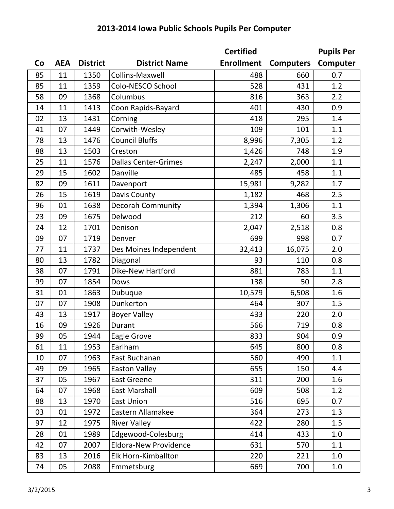|    |            |                 |                              | <b>Certified</b>  |                  | <b>Pupils Per</b> |
|----|------------|-----------------|------------------------------|-------------------|------------------|-------------------|
| Co | <b>AEA</b> | <b>District</b> | <b>District Name</b>         | <b>Enrollment</b> | <b>Computers</b> | Computer          |
| 85 | 11         | 1350            | <b>Collins-Maxwell</b>       | 488               | 660              | 0.7               |
| 85 | 11         | 1359            | Colo-NESCO School            | 528               | 431              | 1.2               |
| 58 | 09         | 1368            | Columbus                     | 816               | 363              | 2.2               |
| 14 | 11         | 1413            | Coon Rapids-Bayard           | 401               | 430              | 0.9               |
| 02 | 13         | 1431            | Corning                      | 418               | 295              | 1.4               |
| 41 | 07         | 1449            | Corwith-Wesley               | 109               | 101              | 1.1               |
| 78 | 13         | 1476            | <b>Council Bluffs</b>        | 8,996             | 7,305            | 1.2               |
| 88 | 13         | 1503            | Creston                      | 1,426             | 748              | 1.9               |
| 25 | 11         | 1576            | <b>Dallas Center-Grimes</b>  | 2,247             | 2,000            | 1.1               |
| 29 | 15         | 1602            | Danville                     | 485               | 458              | 1.1               |
| 82 | 09         | 1611            | Davenport                    | 15,981            | 9,282            | 1.7               |
| 26 | 15         | 1619            | Davis County                 | 1,182             | 468              | 2.5               |
| 96 | 01         | 1638            | Decorah Community            | 1,394             | 1,306            | 1.1               |
| 23 | 09         | 1675            | Delwood                      | 212               | 60               | 3.5               |
| 24 | 12         | 1701            | Denison                      | 2,047             | 2,518            | 0.8               |
| 09 | 07         | 1719            | Denver                       | 699               | 998              | 0.7               |
| 77 | 11         | 1737            | Des Moines Independent       | 32,413            | 16,075           | 2.0               |
| 80 | 13         | 1782            | Diagonal                     | 93                | 110              | 0.8               |
| 38 | 07         | 1791            | Dike-New Hartford            | 881               | 783              | 1.1               |
| 99 | 07         | 1854            | Dows                         | 138               | 50               | 2.8               |
| 31 | 01         | 1863            | Dubuque                      | 10,579            | 6,508            | 1.6               |
| 07 | 07         | 1908            | Dunkerton                    | 464               | 307              | 1.5               |
| 43 | 13         | 1917            | <b>Boyer Valley</b>          | 433               | 220              | 2.0               |
| 16 | 09         | 1926            | Durant                       | 566               | 719              | 0.8               |
| 99 | 05         | 1944            | Eagle Grove                  | 833               | 904              | 0.9               |
| 61 | 11         | 1953            | Earlham                      | 645               | 800              | 0.8               |
| 10 | 07         | 1963            | East Buchanan                | 560               | 490              | 1.1               |
| 49 | 09         | 1965            | <b>Easton Valley</b>         | 655               | 150              | 4.4               |
| 37 | 05         | 1967            | <b>East Greene</b>           | 311               | 200              | 1.6               |
| 64 | 07         | 1968            | <b>East Marshall</b>         | 609               | 508              | 1.2               |
| 88 | 13         | 1970            | <b>East Union</b>            | 516               | 695              | 0.7               |
| 03 | 01         | 1972            | Eastern Allamakee            | 364               | 273              | 1.3               |
| 97 | 12         | 1975            | <b>River Valley</b>          | 422               | 280              | 1.5               |
| 28 | 01         | 1989            | Edgewood-Colesburg           | 414               | 433              | 1.0               |
| 42 | 07         | 2007            | <b>Eldora-New Providence</b> | 631               | 570              | 1.1               |
| 83 | 13         | 2016            | Elk Horn-Kimballton          | 220               | 221              | 1.0               |
| 74 | 05         | 2088            | Emmetsburg                   | 669               | 700              | 1.0               |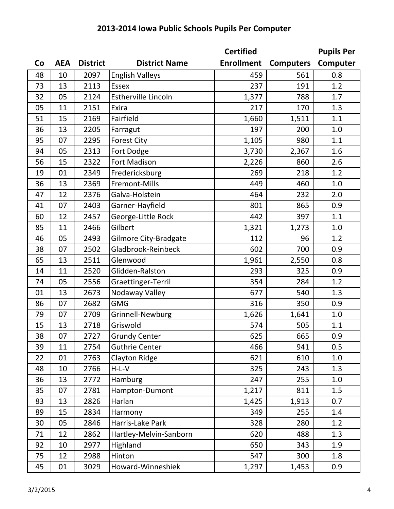|    |            |                 |                            | <b>Certified</b>  |                  | <b>Pupils Per</b> |
|----|------------|-----------------|----------------------------|-------------------|------------------|-------------------|
| Co | <b>AEA</b> | <b>District</b> | <b>District Name</b>       | <b>Enrollment</b> | <b>Computers</b> | Computer          |
| 48 | 10         | 2097            | <b>English Valleys</b>     | 459               | 561              | 0.8               |
| 73 | 13         | 2113            | <b>Essex</b>               | 237               | 191              | 1.2               |
| 32 | 05         | 2124            | <b>Estherville Lincoln</b> | 1,377             | 788              | 1.7               |
| 05 | 11         | 2151            | Exira                      | 217               | 170              | 1.3               |
| 51 | 15         | 2169            | Fairfield                  | 1,660             | 1,511            | 1.1               |
| 36 | 13         | 2205            | Farragut                   | 197               | 200              | 1.0               |
| 95 | 07         | 2295            | <b>Forest City</b>         | 1,105             | 980              | 1.1               |
| 94 | 05         | 2313            | Fort Dodge                 | 3,730             | 2,367            | 1.6               |
| 56 | 15         | 2322            | <b>Fort Madison</b>        | 2,226             | 860              | 2.6               |
| 19 | 01         | 2349            | Fredericksburg             | 269               | 218              | 1.2               |
| 36 | 13         | 2369            | Fremont-Mills              | 449               | 460              | 1.0               |
| 47 | 12         | 2376            | Galva-Holstein             | 464               | 232              | 2.0               |
| 41 | 07         | 2403            | Garner-Hayfield            | 801               | 865              | 0.9               |
| 60 | 12         | 2457            | George-Little Rock         | 442               | 397              | 1.1               |
| 85 | 11         | 2466            | Gilbert                    | 1,321             | 1,273            | 1.0               |
| 46 | 05         | 2493            | Gilmore City-Bradgate      | 112               | 96               | 1.2               |
| 38 | 07         | 2502            | Gladbrook-Reinbeck         | 602               | 700              | 0.9               |
| 65 | 13         | 2511            | Glenwood                   | 1,961             | 2,550            | 0.8               |
| 14 | 11         | 2520            | Glidden-Ralston            | 293               | 325              | 0.9               |
| 74 | 05         | 2556            | Graettinger-Terril         | 354               | 284              | 1.2               |
| 01 | 13         | 2673            | Nodaway Valley             | 677               | 540              | 1.3               |
| 86 | 07         | 2682            | <b>GMG</b>                 | 316               | 350              | 0.9               |
| 79 | 07         | 2709            | Grinnell-Newburg           | 1,626             | 1,641            | 1.0               |
| 15 | 13         | 2718            | Griswold                   | 574               | 505              | 1.1               |
| 38 | 07         | 2727            | <b>Grundy Center</b>       | 625               | 665              | 0.9               |
| 39 | 11         | 2754            | <b>Guthrie Center</b>      | 466               | 941              | 0.5               |
| 22 | 01         | 2763            | <b>Clayton Ridge</b>       | 621               | 610              | 1.0               |
| 48 | 10         | 2766            | $H-L-V$                    | 325               | 243              | 1.3               |
| 36 | 13         | 2772            | Hamburg                    | 247               | 255              | 1.0               |
| 35 | 07         | 2781            | Hampton-Dumont             | 1,217             | 811              | 1.5               |
| 83 | 13         | 2826            | Harlan                     | 1,425             | 1,913            | 0.7               |
| 89 | 15         | 2834            | Harmony                    | 349               | 255              | 1.4               |
| 30 | 05         | 2846            | Harris-Lake Park           | 328               | 280              | 1.2               |
| 71 | 12         | 2862            | Hartley-Melvin-Sanborn     | 620               | 488              | 1.3               |
| 92 | 10         | 2977            | Highland                   | 650               | 343              | 1.9               |
| 75 | 12         | 2988            | Hinton                     | 547               | 300              | 1.8               |
| 45 | 01         | 3029            | Howard-Winneshiek          | 1,297             | 1,453            | 0.9               |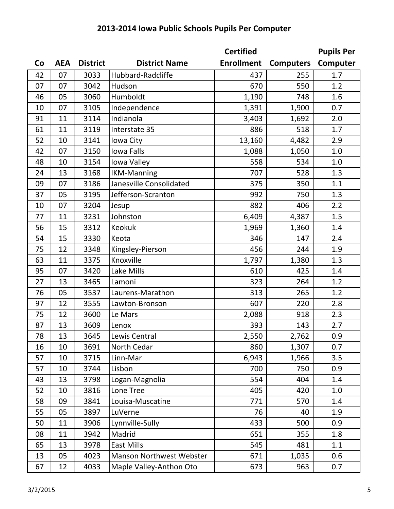|    |            |                 |                                 | <b>Certified</b>  |                  | <b>Pupils Per</b> |
|----|------------|-----------------|---------------------------------|-------------------|------------------|-------------------|
| Co | <b>AEA</b> | <b>District</b> | <b>District Name</b>            | <b>Enrollment</b> | <b>Computers</b> | Computer          |
| 42 | 07         | 3033            | Hubbard-Radcliffe               | 437               | 255              | 1.7               |
| 07 | 07         | 3042            | Hudson                          | 670               | 550              | 1.2               |
| 46 | 05         | 3060            | Humboldt                        | 1,190             | 748              | 1.6               |
| 10 | 07         | 3105            | Independence                    | 1,391             | 1,900            | 0.7               |
| 91 | 11         | 3114            | Indianola                       | 3,403             | 1,692            | 2.0               |
| 61 | 11         | 3119            | Interstate 35                   | 886               | 518              | 1.7               |
| 52 | 10         | 3141            | Iowa City                       | 13,160            | 4,482            | 2.9               |
| 42 | 07         | 3150            | <b>Iowa Falls</b>               | 1,088             | 1,050            | 1.0               |
| 48 | 10         | 3154            | Iowa Valley                     | 558               | 534              | 1.0               |
| 24 | 13         | 3168            | <b>IKM-Manning</b>              | 707               | 528              | 1.3               |
| 09 | 07         | 3186            | Janesville Consolidated         | 375               | 350              | 1.1               |
| 37 | 05         | 3195            | Jefferson-Scranton              | 992               | 750              | 1.3               |
| 10 | 07         | 3204            | Jesup                           | 882               | 406              | 2.2               |
| 77 | 11         | 3231            | Johnston                        | 6,409             | 4,387            | 1.5               |
| 56 | 15         | 3312            | Keokuk                          | 1,969             | 1,360            | 1.4               |
| 54 | 15         | 3330            | Keota                           | 346               | 147              | 2.4               |
| 75 | 12         | 3348            | Kingsley-Pierson                | 456               | 244              | 1.9               |
| 63 | 11         | 3375            | Knoxville                       | 1,797             | 1,380            | 1.3               |
| 95 | 07         | 3420            | Lake Mills                      | 610               | 425              | 1.4               |
| 27 | 13         | 3465            | Lamoni                          | 323               | 264              | 1.2               |
| 76 | 05         | 3537            | Laurens-Marathon                | 313               | 265              | 1.2               |
| 97 | 12         | 3555            | Lawton-Bronson                  | 607               | 220              | 2.8               |
| 75 | 12         | 3600            | Le Mars                         | 2,088             | 918              | 2.3               |
| 87 | 13         | 3609            | Lenox                           | 393               | 143              | 2.7               |
| 78 | 13         | 3645            | Lewis Central                   | 2,550             | 2,762            | 0.9               |
| 16 | 10         | 3691            | North Cedar                     | 860               | 1,307            | 0.7               |
| 57 | 10         | 3715            | Linn-Mar                        | 6,943             | 1,966            | 3.5               |
| 57 | 10         | 3744            | Lisbon                          | 700               | 750              | 0.9               |
| 43 | 13         | 3798            | Logan-Magnolia                  | 554               | 404              | 1.4               |
| 52 | 10         | 3816            | Lone Tree                       | 405               | 420              | 1.0               |
| 58 | 09         | 3841            | Louisa-Muscatine                | 771               | 570              | 1.4               |
| 55 | 05         | 3897            | LuVerne                         | 76                | 40               | 1.9               |
| 50 | 11         | 3906            | Lynnville-Sully                 | 433               | 500              | 0.9               |
| 08 | 11         | 3942            | Madrid                          | 651               | 355              | 1.8               |
| 65 | 13         | 3978            | <b>East Mills</b>               | 545               | 481              | 1.1               |
| 13 | 05         | 4023            | <b>Manson Northwest Webster</b> | 671               | 1,035            | 0.6               |
| 67 | 12         | 4033            | Maple Valley-Anthon Oto         | 673               | 963              | 0.7               |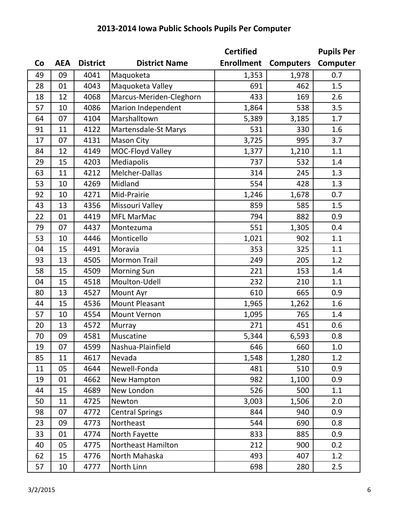|    |            |                 |                         | <b>Certified</b>  |                  | <b>Pupils Per</b> |
|----|------------|-----------------|-------------------------|-------------------|------------------|-------------------|
| Co | <b>AEA</b> | <b>District</b> | <b>District Name</b>    | <b>Enrollment</b> | <b>Computers</b> | Computer          |
| 49 | 09         | 4041            | Maquoketa               | 1,353             | 1,978            | 0.7               |
| 28 | 01         | 4043            | Maquoketa Valley        | 691               | 462              | 1.5               |
| 18 | 12         | 4068            | Marcus-Meriden-Cleghorn | 433               | 169              | 2.6               |
| 57 | 10         | 4086            | Marion Independent      | 1,864             | 538              | 3.5               |
| 64 | 07         | 4104            | Marshalltown            | 5,389             | 3,185            | 1.7               |
| 91 | 11         | 4122            | Martensdale-St Marys    | 531               | 330              | 1.6               |
| 17 | 07         | 4131            | <b>Mason City</b>       | 3,725             | 995              | 3.7               |
| 84 | 12         | 4149            | MOC-Floyd Valley        | 1,377             | 1,210            | 1.1               |
| 29 | 15         | 4203            | Mediapolis              | 737               | 532              | 1.4               |
| 63 | 11         | 4212            | Melcher-Dallas          | 314               | 245              | 1.3               |
| 53 | 10         | 4269            | Midland                 | 554               | 428              | 1.3               |
| 92 | 10         | 4271            | Mid-Prairie             | 1,246             | 1,678            | 0.7               |
| 43 | 13         | 4356            | Missouri Valley         | 859               | 585              | 1.5               |
| 22 | 01         | 4419            | <b>MFL MarMac</b>       | 794               | 882              | 0.9               |
| 79 | 07         | 4437            | Montezuma               | 551               | 1,305            | 0.4               |
| 53 | 10         | 4446            | Monticello              | 1,021             | 902              | 1.1               |
| 04 | 15         | 4491            | Moravia                 | 353               | 325              | 1.1               |
| 93 | 13         | 4505            | <b>Mormon Trail</b>     | 249               | 205              | 1.2               |
| 58 | 15         | 4509            | <b>Morning Sun</b>      | 221               | 153              | 1.4               |
| 04 | 15         | 4518            | Moulton-Udell           | 232               | 210              | 1.1               |
| 80 | 13         | 4527            | Mount Ayr               | 610               | 665              | 0.9               |
| 44 | 15         | 4536            | <b>Mount Pleasant</b>   | 1,965             | 1,262            | 1.6               |
| 57 | 10         | 4554            | <b>Mount Vernon</b>     | 1,095             | 765              | 1.4               |
| 20 | 13         | 4572            | Murray                  | 271               | 451              | 0.6               |
| 70 | 09         | 4581            | Muscatine               | 5,344             | 6,593            | 0.8               |
| 19 | 07         | 4599            | Nashua-Plainfield       | 646               | 660              | 1.0               |
| 85 | 11         | 4617            | Nevada                  | 1,548             | 1,280            | 1.2               |
| 11 | 05         | 4644            | Newell-Fonda            | 481               | 510              | 0.9               |
| 19 | 01         | 4662            | New Hampton             | 982               | 1,100            | 0.9               |
| 44 | 15         | 4689            | New London              | 526               | 500              | 1.1               |
| 50 | 11         | 4725            | Newton                  | 3,003             | 1,506            | 2.0               |
| 98 | 07         | 4772            | <b>Central Springs</b>  | 844               | 940              | 0.9               |
| 23 | 09         | 4773            | Northeast               | 544               | 690              | 0.8               |
| 33 | 01         | 4774            | North Fayette           | 833               | 885              | 0.9               |
| 40 | 05         | 4775            | Northeast Hamilton      | 212               | 900              | 0.2               |

62 15 4776 North Mahaska 193 493 407 1.2 10 4777 North Linn 698 280 2.5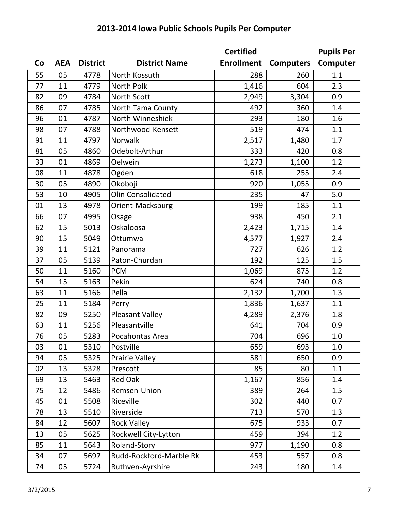|    |            |                 |                         | <b>Certified</b>  |                  | <b>Pupils Per</b> |
|----|------------|-----------------|-------------------------|-------------------|------------------|-------------------|
| Co | <b>AEA</b> | <b>District</b> | <b>District Name</b>    | <b>Enrollment</b> | <b>Computers</b> | Computer          |
| 55 | 05         | 4778            | North Kossuth           | 288               | 260              | 1.1               |
| 77 | 11         | 4779            | North Polk              | 1,416             | 604              | 2.3               |
| 82 | 09         | 4784            | <b>North Scott</b>      | 2,949             | 3,304            | 0.9               |
| 86 | 07         | 4785            | North Tama County       | 492               | 360              | 1.4               |
| 96 | 01         | 4787            | North Winneshiek        | 293               | 180              | 1.6               |
| 98 | 07         | 4788            | Northwood-Kensett       | 519               | 474              | 1.1               |
| 91 | 11         | 4797            | Norwalk                 | 2,517             | 1,480            | 1.7               |
| 81 | 05         | 4860            | Odebolt-Arthur          | 333               | 420              | 0.8               |
| 33 | 01         | 4869            | Oelwein                 | 1,273             | 1,100            | 1.2               |
| 08 | 11         | 4878            | Ogden                   | 618               | 255              | 2.4               |
| 30 | 05         | 4890            | Okoboji                 | 920               | 1,055            | 0.9               |
| 53 | 10         | 4905            | Olin Consolidated       | 235               | 47               | 5.0               |
| 01 | 13         | 4978            | Orient-Macksburg        | 199               | 185              | 1.1               |
| 66 | 07         | 4995            | Osage                   | 938               | 450              | 2.1               |
| 62 | 15         | 5013            | Oskaloosa               | 2,423             | 1,715            | 1.4               |
| 90 | 15         | 5049            | Ottumwa                 | 4,577             | 1,927            | 2.4               |
| 39 | 11         | 5121            | Panorama                | 727               | 626              | 1.2               |
| 37 | 05         | 5139            | Paton-Churdan           | 192               | 125              | 1.5               |
| 50 | 11         | 5160            | <b>PCM</b>              | 1,069             | 875              | 1.2               |
| 54 | 15         | 5163            | Pekin                   | 624               | 740              | 0.8               |
| 63 | 11         | 5166            | Pella                   | 2,132             | 1,700            | 1.3               |
| 25 | 11         | 5184            | Perry                   | 1,836             | 1,637            | 1.1               |
| 82 | 09         | 5250            | <b>Pleasant Valley</b>  | 4,289             | 2,376            | 1.8               |
| 63 | 11         | 5256            | Pleasantville           | 641               | 704              | 0.9               |
| 76 | 05         | 5283            | Pocahontas Area         | 704               | 696              | 1.0               |
| 03 | 01         | 5310            | Postville               | 659               | 693              | 1.0               |
| 94 | 05         | 5325            | <b>Prairie Valley</b>   | 581               | 650              | 0.9               |
| 02 | 13         | 5328            | Prescott                | 85                | 80               | 1.1               |
| 69 | 13         | 5463            | <b>Red Oak</b>          | 1,167             | 856              | 1.4               |
| 75 | 12         | 5486            | Remsen-Union            | 389               | 264              | 1.5               |
| 45 | 01         | 5508            | Riceville               | 302               | 440              | 0.7               |
| 78 | 13         | 5510            | Riverside               | 713               | 570              | 1.3               |
| 84 | 12         | 5607            | <b>Rock Valley</b>      | 675               | 933              | 0.7               |
| 13 | 05         | 5625            | Rockwell City-Lytton    | 459               | 394              | 1.2               |
| 85 | 11         | 5643            | Roland-Story            | 977               | 1,190            | 0.8               |
| 34 | 07         | 5697            | Rudd-Rockford-Marble Rk | 453               | 557              | 0.8               |
| 74 | 05         | 5724            | Ruthven-Ayrshire        | 243               | 180              | 1.4               |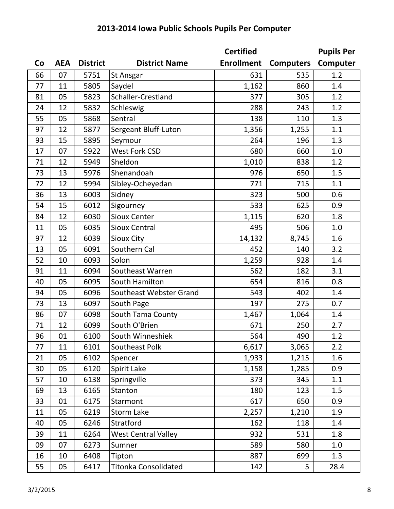|    |            |                 |                            | <b>Certified</b>  |                  | <b>Pupils Per</b> |
|----|------------|-----------------|----------------------------|-------------------|------------------|-------------------|
| Co | <b>AEA</b> | <b>District</b> | <b>District Name</b>       | <b>Enrollment</b> | <b>Computers</b> | Computer          |
| 66 | 07         | 5751            | <b>St Ansgar</b>           | 631               | 535              | 1.2               |
| 77 | 11         | 5805            | Saydel                     | 1,162             | 860              | 1.4               |
| 81 | 05         | 5823            | Schaller-Crestland         | 377               | 305              | 1.2               |
| 24 | 12         | 5832            | Schleswig                  | 288               | 243              | 1.2               |
| 55 | 05         | 5868            | Sentral                    | 138               | 110              | 1.3               |
| 97 | 12         | 5877            | Sergeant Bluff-Luton       | 1,356             | 1,255            | 1.1               |
| 93 | 15         | 5895            | Seymour                    | 264               | 196              | 1.3               |
| 17 | 07         | 5922            | <b>West Fork CSD</b>       | 680               | 660              | 1.0               |
| 71 | 12         | 5949            | Sheldon                    | 1,010             | 838              | 1.2               |
| 73 | 13         | 5976            | Shenandoah                 | 976               | 650              | 1.5               |
| 72 | 12         | 5994            | Sibley-Ocheyedan           | 771               | 715              | 1.1               |
| 36 | 13         | 6003            | Sidney                     | 323               | 500              | 0.6               |
| 54 | 15         | 6012            | Sigourney                  | 533               | 625              | 0.9               |
| 84 | 12         | 6030            | <b>Sioux Center</b>        | 1,115             | 620              | 1.8               |
| 11 | 05         | 6035            | <b>Sioux Central</b>       | 495               | 506              | 1.0               |
| 97 | 12         | 6039            | <b>Sioux City</b>          | 14,132            | 8,745            | 1.6               |
| 13 | 05         | 6091            | Southern Cal               | 452               | 140              | 3.2               |
| 52 | 10         | 6093            | Solon                      | 1,259             | 928              | 1.4               |
| 91 | 11         | 6094            | Southeast Warren           | 562               | 182              | 3.1               |
| 40 | 05         | 6095            | South Hamilton             | 654               | 816              | 0.8               |
| 94 | 05         | 6096            | Southeast Webster Grand    | 543               | 402              | 1.4               |
| 73 | 13         | 6097            | South Page                 | 197               | 275              | 0.7               |
| 86 | 07         | 6098            | South Tama County          | 1,467             | 1,064            | 1.4               |
| 71 | 12         | 6099            | South O'Brien              | 671               | 250              | 2.7               |
| 96 | 01         | 6100            | South Winneshiek           | 564               | 490              | 1.2               |
| 77 | 11         | 6101            | Southeast Polk             | 6,617             | 3,065            | 2.2               |
| 21 | 05         | 6102            | Spencer                    | 1,933             | 1,215            | 1.6               |
| 30 | 05         | 6120            | Spirit Lake                | 1,158             | 1,285            | 0.9               |
| 57 | 10         | 6138            | Springville                | 373               | 345              | 1.1               |
| 69 | 13         | 6165            | <b>Stanton</b>             | 180               | 123              | 1.5               |
| 33 | 01         | 6175            | Starmont                   | 617               | 650              | 0.9               |
| 11 | 05         | 6219            | <b>Storm Lake</b>          | 2,257             | 1,210            | 1.9               |
| 40 | 05         | 6246            | Stratford                  | 162               | 118              | 1.4               |
| 39 | 11         | 6264            | <b>West Central Valley</b> | 932               | 531              | 1.8               |
| 09 | 07         | 6273            | Sumner                     | 589               | 580              | 1.0               |
| 16 | 10         | 6408            | Tipton                     | 887               | 699              | 1.3               |
| 55 | 05         | 6417            | Titonka Consolidated       | 142               | 5                | 28.4              |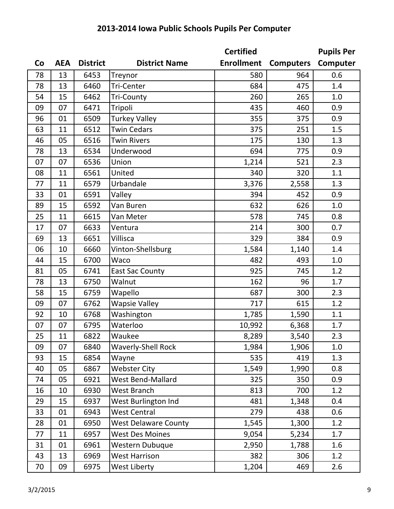|    |            |                 |                             | <b>Certified</b>  |                  | <b>Pupils Per</b> |
|----|------------|-----------------|-----------------------------|-------------------|------------------|-------------------|
| Co | <b>AEA</b> | <b>District</b> | <b>District Name</b>        | <b>Enrollment</b> | <b>Computers</b> | Computer          |
| 78 | 13         | 6453            | Treynor                     | 580               | 964              | 0.6               |
| 78 | 13         | 6460            | Tri-Center                  | 684               | 475              | 1.4               |
| 54 | 15         | 6462            | <b>Tri-County</b>           | 260               | 265              | 1.0               |
| 09 | 07         | 6471            | Tripoli                     | 435               | 460              | 0.9               |
| 96 | 01         | 6509            | <b>Turkey Valley</b>        | 355               | 375              | 0.9               |
| 63 | 11         | 6512            | <b>Twin Cedars</b>          | 375               | 251              | 1.5               |
| 46 | 05         | 6516            | <b>Twin Rivers</b>          | 175               | 130              | 1.3               |
| 78 | 13         | 6534            | Underwood                   | 694               | 775              | 0.9               |
| 07 | 07         | 6536            | Union                       | 1,214             | 521              | 2.3               |
| 08 | 11         | 6561            | United                      | 340               | 320              | 1.1               |
| 77 | 11         | 6579            | Urbandale                   | 3,376             | 2,558            | 1.3               |
| 33 | 01         | 6591            | Valley                      | 394               | 452              | 0.9               |
| 89 | 15         | 6592            | Van Buren                   | 632               | 626              | 1.0               |
| 25 | 11         | 6615            | Van Meter                   | 578               | 745              | 0.8               |
| 17 | 07         | 6633            | Ventura                     | 214               | 300              | 0.7               |
| 69 | 13         | 6651            | Villisca                    | 329               | 384              | 0.9               |
| 06 | 10         | 6660            | Vinton-Shellsburg           | 1,584             | 1,140            | 1.4               |
| 44 | 15         | 6700            | Waco                        | 482               | 493              | 1.0               |
| 81 | 05         | 6741            | <b>East Sac County</b>      | 925               | 745              | 1.2               |
| 78 | 13         | 6750            | Walnut                      | 162               | 96               | 1.7               |
| 58 | 15         | 6759            | Wapello                     | 687               | 300              | 2.3               |
| 09 | 07         | 6762            | <b>Wapsie Valley</b>        | 717               | 615              | 1.2               |
| 92 | 10         | 6768            | Washington                  | 1,785             | 1,590            | 1.1               |
| 07 | 07         | 6795            | Waterloo                    | 10,992            | 6,368            | 1.7               |
| 25 | 11         | 6822            | Waukee                      | 8,289             | 3,540            | 2.3               |
| 09 | 07         | 6840            | <b>Waverly-Shell Rock</b>   | 1,984             | 1,906            | 1.0               |
| 93 | 15         | 6854            | Wayne                       | 535               | 419              | 1.3               |
| 40 | 05         | 6867            | <b>Webster City</b>         | 1,549             | 1,990            | 0.8               |
| 74 | 05         | 6921            | West Bend-Mallard           | 325               | 350              | 0.9               |
| 16 | 10         | 6930            | West Branch                 | 813               | 700              | 1.2               |
| 29 | 15         | 6937            | West Burlington Ind         | 481               | 1,348            | 0.4               |
| 33 | 01         | 6943            | <b>West Central</b>         | 279               | 438              | 0.6               |
| 28 | 01         | 6950            | <b>West Delaware County</b> | 1,545             | 1,300            | 1.2               |
| 77 | 11         | 6957            | <b>West Des Moines</b>      | 9,054             | 5,234            | 1.7               |
| 31 | 01         | 6961            | Western Dubuque             | 2,950             | 1,788            | 1.6               |
| 43 | 13         | 6969            | <b>West Harrison</b>        | 382               | 306              | 1.2               |
| 70 | 09         | 6975            | West Liberty                | 1,204             | 469              | 2.6               |